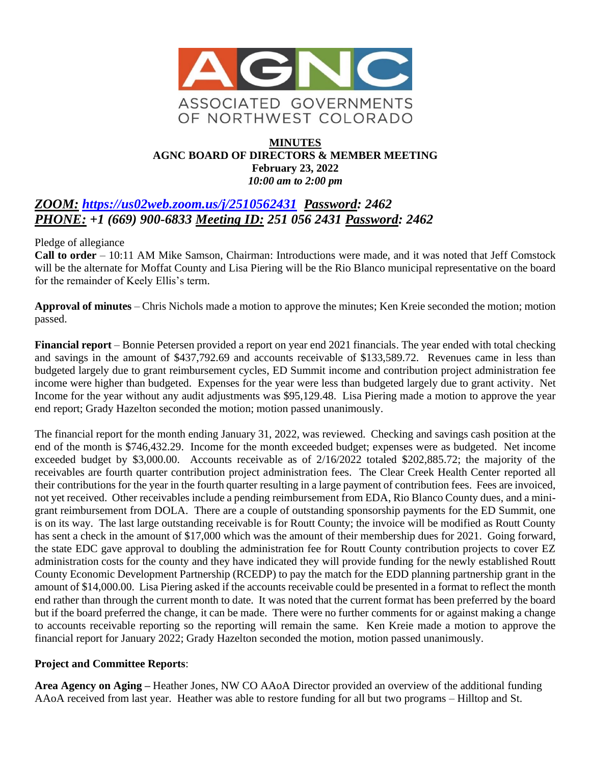

#### **MINUTES AGNC BOARD OF DIRECTORS & MEMBER MEETING February 23, 2022** *10:00 am to 2:00 pm*

# *ZOOM: <https://us02web.zoom.us/j/2510562431>**Password: 2462 PHONE: +1 (669) 900-6833 Meeting ID: 251 056 2431 Password: 2462*

Pledge of allegiance

**Call to order** – 10:11 AM Mike Samson, Chairman: Introductions were made, and it was noted that Jeff Comstock will be the alternate for Moffat County and Lisa Piering will be the Rio Blanco municipal representative on the board for the remainder of Keely Ellis's term.

**Approval of minutes** – Chris Nichols made a motion to approve the minutes; Ken Kreie seconded the motion; motion passed.

**Financial report** – Bonnie Petersen provided a report on year end 2021 financials. The year ended with total checking and savings in the amount of \$437,792.69 and accounts receivable of \$133,589.72. Revenues came in less than budgeted largely due to grant reimbursement cycles, ED Summit income and contribution project administration fee income were higher than budgeted. Expenses for the year were less than budgeted largely due to grant activity. Net Income for the year without any audit adjustments was \$95,129.48. Lisa Piering made a motion to approve the year end report; Grady Hazelton seconded the motion; motion passed unanimously.

The financial report for the month ending January 31, 2022, was reviewed. Checking and savings cash position at the end of the month is \$746,432.29. Income for the month exceeded budget; expenses were as budgeted. Net income exceeded budget by \$3,000.00. Accounts receivable as of 2/16/2022 totaled \$202,885.72; the majority of the receivables are fourth quarter contribution project administration fees. The Clear Creek Health Center reported all their contributions for the year in the fourth quarter resulting in a large payment of contribution fees. Fees are invoiced, not yet received. Other receivables include a pending reimbursement from EDA, Rio Blanco County dues, and a minigrant reimbursement from DOLA. There are a couple of outstanding sponsorship payments for the ED Summit, one is on its way. The last large outstanding receivable is for Routt County; the invoice will be modified as Routt County has sent a check in the amount of \$17,000 which was the amount of their membership dues for 2021. Going forward, the state EDC gave approval to doubling the administration fee for Routt County contribution projects to cover EZ administration costs for the county and they have indicated they will provide funding for the newly established Routt County Economic Development Partnership (RCEDP) to pay the match for the EDD planning partnership grant in the amount of \$14,000.00. Lisa Piering asked if the accounts receivable could be presented in a format to reflect the month end rather than through the current month to date. It was noted that the current format has been preferred by the board but if the board preferred the change, it can be made. There were no further comments for or against making a change to accounts receivable reporting so the reporting will remain the same. Ken Kreie made a motion to approve the financial report for January 2022; Grady Hazelton seconded the motion, motion passed unanimously.

## **Project and Committee Reports**:

**Area Agency on Aging –** Heather Jones, NW CO AAoA Director provided an overview of the additional funding AAoA received from last year. Heather was able to restore funding for all but two programs – Hilltop and St.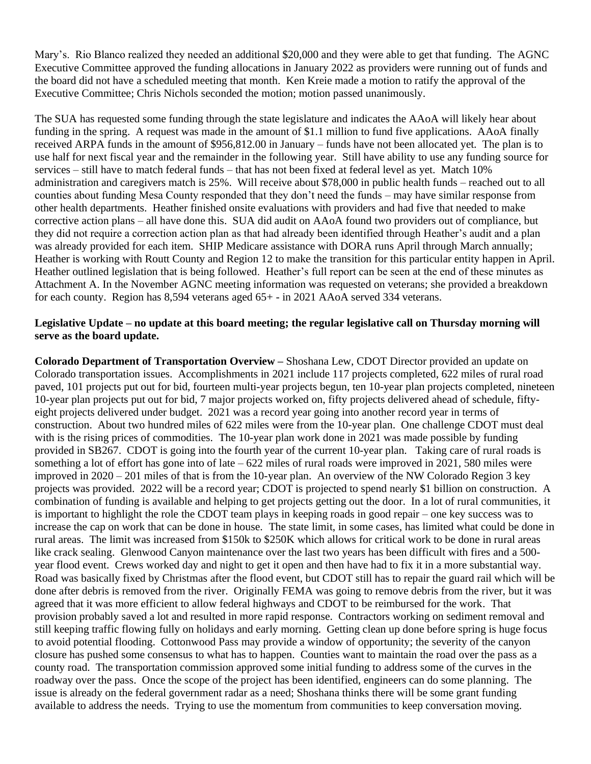Mary's. Rio Blanco realized they needed an additional \$20,000 and they were able to get that funding. The AGNC Executive Committee approved the funding allocations in January 2022 as providers were running out of funds and the board did not have a scheduled meeting that month. Ken Kreie made a motion to ratify the approval of the Executive Committee; Chris Nichols seconded the motion; motion passed unanimously.

The SUA has requested some funding through the state legislature and indicates the AAoA will likely hear about funding in the spring. A request was made in the amount of \$1.1 million to fund five applications. AAoA finally received ARPA funds in the amount of \$956,812.00 in January – funds have not been allocated yet. The plan is to use half for next fiscal year and the remainder in the following year. Still have ability to use any funding source for services – still have to match federal funds – that has not been fixed at federal level as yet. Match 10% administration and caregivers match is 25%. Will receive about \$78,000 in public health funds – reached out to all counties about funding Mesa County responded that they don't need the funds – may have similar response from other health departments. Heather finished onsite evaluations with providers and had five that needed to make corrective action plans – all have done this. SUA did audit on AAoA found two providers out of compliance, but they did not require a correction action plan as that had already been identified through Heather's audit and a plan was already provided for each item. SHIP Medicare assistance with DORA runs April through March annually; Heather is working with Routt County and Region 12 to make the transition for this particular entity happen in April. Heather outlined legislation that is being followed. Heather's full report can be seen at the end of these minutes as Attachment A. In the November AGNC meeting information was requested on veterans; she provided a breakdown for each county. Region has 8,594 veterans aged 65+ - in 2021 AAoA served 334 veterans.

## **Legislative Update – no update at this board meeting; the regular legislative call on Thursday morning will serve as the board update.**

**Colorado Department of Transportation Overview –** Shoshana Lew, CDOT Director provided an update on Colorado transportation issues. Accomplishments in 2021 include 117 projects completed, 622 miles of rural road paved, 101 projects put out for bid, fourteen multi-year projects begun, ten 10-year plan projects completed, nineteen 10-year plan projects put out for bid, 7 major projects worked on, fifty projects delivered ahead of schedule, fiftyeight projects delivered under budget. 2021 was a record year going into another record year in terms of construction. About two hundred miles of 622 miles were from the 10-year plan. One challenge CDOT must deal with is the rising prices of commodities. The 10-year plan work done in 2021 was made possible by funding provided in SB267. CDOT is going into the fourth year of the current 10-year plan. Taking care of rural roads is something a lot of effort has gone into of late – 622 miles of rural roads were improved in 2021, 580 miles were improved in 2020 – 201 miles of that is from the 10-year plan. An overview of the NW Colorado Region 3 key projects was provided. 2022 will be a record year; CDOT is projected to spend nearly \$1 billion on construction. A combination of funding is available and helping to get projects getting out the door. In a lot of rural communities, it is important to highlight the role the CDOT team plays in keeping roads in good repair – one key success was to increase the cap on work that can be done in house. The state limit, in some cases, has limited what could be done in rural areas. The limit was increased from \$150k to \$250K which allows for critical work to be done in rural areas like crack sealing. Glenwood Canyon maintenance over the last two years has been difficult with fires and a 500 year flood event. Crews worked day and night to get it open and then have had to fix it in a more substantial way. Road was basically fixed by Christmas after the flood event, but CDOT still has to repair the guard rail which will be done after debris is removed from the river. Originally FEMA was going to remove debris from the river, but it was agreed that it was more efficient to allow federal highways and CDOT to be reimbursed for the work. That provision probably saved a lot and resulted in more rapid response. Contractors working on sediment removal and still keeping traffic flowing fully on holidays and early morning. Getting clean up done before spring is huge focus to avoid potential flooding. Cottonwood Pass may provide a window of opportunity; the severity of the canyon closure has pushed some consensus to what has to happen. Counties want to maintain the road over the pass as a county road. The transportation commission approved some initial funding to address some of the curves in the roadway over the pass. Once the scope of the project has been identified, engineers can do some planning. The issue is already on the federal government radar as a need; Shoshana thinks there will be some grant funding available to address the needs. Trying to use the momentum from communities to keep conversation moving.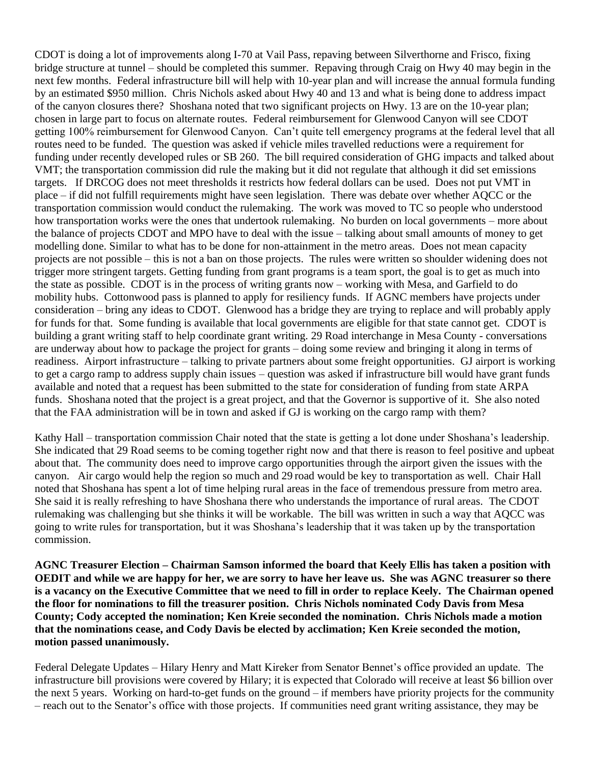CDOT is doing a lot of improvements along I-70 at Vail Pass, repaving between Silverthorne and Frisco, fixing bridge structure at tunnel – should be completed this summer. Repaving through Craig on Hwy 40 may begin in the next few months. Federal infrastructure bill will help with 10-year plan and will increase the annual formula funding by an estimated \$950 million. Chris Nichols asked about Hwy 40 and 13 and what is being done to address impact of the canyon closures there? Shoshana noted that two significant projects on Hwy. 13 are on the 10-year plan; chosen in large part to focus on alternate routes. Federal reimbursement for Glenwood Canyon will see CDOT getting 100% reimbursement for Glenwood Canyon. Can't quite tell emergency programs at the federal level that all routes need to be funded. The question was asked if vehicle miles travelled reductions were a requirement for funding under recently developed rules or SB 260. The bill required consideration of GHG impacts and talked about VMT; the transportation commission did rule the making but it did not regulate that although it did set emissions targets. If DRCOG does not meet thresholds it restricts how federal dollars can be used. Does not put VMT in place – if did not fulfill requirements might have seen legislation. There was debate over whether AQCC or the transportation commission would conduct the rulemaking. The work was moved to TC so people who understood how transportation works were the ones that undertook rulemaking. No burden on local governments – more about the balance of projects CDOT and MPO have to deal with the issue – talking about small amounts of money to get modelling done. Similar to what has to be done for non-attainment in the metro areas. Does not mean capacity projects are not possible – this is not a ban on those projects. The rules were written so shoulder widening does not trigger more stringent targets. Getting funding from grant programs is a team sport, the goal is to get as much into the state as possible. CDOT is in the process of writing grants now – working with Mesa, and Garfield to do mobility hubs. Cottonwood pass is planned to apply for resiliency funds. If AGNC members have projects under consideration – bring any ideas to CDOT. Glenwood has a bridge they are trying to replace and will probably apply for funds for that. Some funding is available that local governments are eligible for that state cannot get. CDOT is building a grant writing staff to help coordinate grant writing. 29 Road interchange in Mesa County - conversations are underway about how to package the project for grants – doing some review and bringing it along in terms of readiness. Airport infrastructure – talking to private partners about some freight opportunities. GJ airport is working to get a cargo ramp to address supply chain issues – question was asked if infrastructure bill would have grant funds available and noted that a request has been submitted to the state for consideration of funding from state ARPA funds. Shoshana noted that the project is a great project, and that the Governor is supportive of it. She also noted that the FAA administration will be in town and asked if GJ is working on the cargo ramp with them?

Kathy Hall – transportation commission Chair noted that the state is getting a lot done under Shoshana's leadership. She indicated that 29 Road seems to be coming together right now and that there is reason to feel positive and upbeat about that. The community does need to improve cargo opportunities through the airport given the issues with the canyon. Air cargo would help the region so much and 29 road would be key to transportation as well. Chair Hall noted that Shoshana has spent a lot of time helping rural areas in the face of tremendous pressure from metro area. She said it is really refreshing to have Shoshana there who understands the importance of rural areas. The CDOT rulemaking was challenging but she thinks it will be workable. The bill was written in such a way that AQCC was going to write rules for transportation, but it was Shoshana's leadership that it was taken up by the transportation commission.

**AGNC Treasurer Election – Chairman Samson informed the board that Keely Ellis has taken a position with OEDIT and while we are happy for her, we are sorry to have her leave us. She was AGNC treasurer so there is a vacancy on the Executive Committee that we need to fill in order to replace Keely. The Chairman opened the floor for nominations to fill the treasurer position. Chris Nichols nominated Cody Davis from Mesa County; Cody accepted the nomination; Ken Kreie seconded the nomination. Chris Nichols made a motion that the nominations cease, and Cody Davis be elected by acclimation; Ken Kreie seconded the motion, motion passed unanimously.** 

Federal Delegate Updates – Hilary Henry and Matt Kireker from Senator Bennet's office provided an update. The infrastructure bill provisions were covered by Hilary; it is expected that Colorado will receive at least \$6 billion over the next 5 years. Working on hard-to-get funds on the ground – if members have priority projects for the community – reach out to the Senator's office with those projects. If communities need grant writing assistance, they may be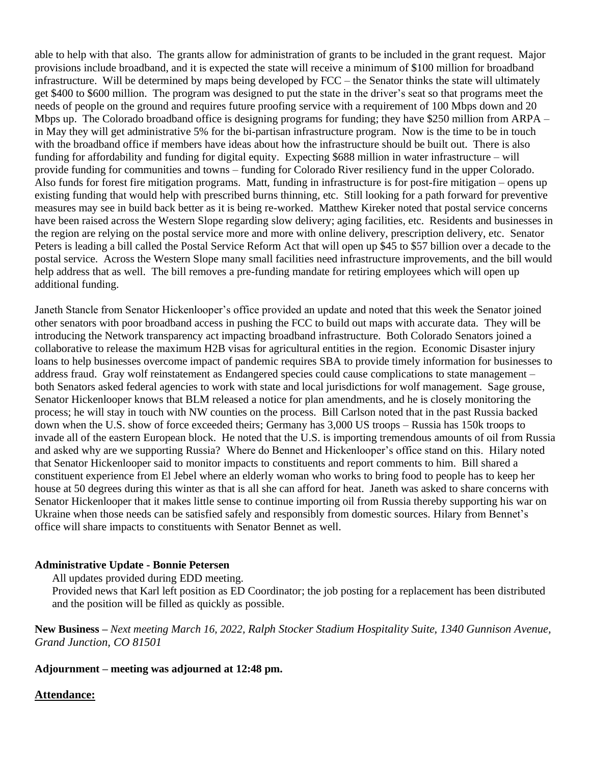able to help with that also. The grants allow for administration of grants to be included in the grant request. Major provisions include broadband, and it is expected the state will receive a minimum of \$100 million for broadband infrastructure. Will be determined by maps being developed by FCC – the Senator thinks the state will ultimately get \$400 to \$600 million. The program was designed to put the state in the driver's seat so that programs meet the needs of people on the ground and requires future proofing service with a requirement of 100 Mbps down and 20 Mbps up. The Colorado broadband office is designing programs for funding; they have \$250 million from ARPA – in May they will get administrative 5% for the bi-partisan infrastructure program. Now is the time to be in touch with the broadband office if members have ideas about how the infrastructure should be built out. There is also funding for affordability and funding for digital equity. Expecting \$688 million in water infrastructure – will provide funding for communities and towns – funding for Colorado River resiliency fund in the upper Colorado. Also funds for forest fire mitigation programs. Matt, funding in infrastructure is for post-fire mitigation – opens up existing funding that would help with prescribed burns thinning, etc. Still looking for a path forward for preventive measures may see in build back better as it is being re-worked. Matthew Kireker noted that postal service concerns have been raised across the Western Slope regarding slow delivery; aging facilities, etc. Residents and businesses in the region are relying on the postal service more and more with online delivery, prescription delivery, etc. Senator Peters is leading a bill called the Postal Service Reform Act that will open up \$45 to \$57 billion over a decade to the postal service. Across the Western Slope many small facilities need infrastructure improvements, and the bill would help address that as well. The bill removes a pre-funding mandate for retiring employees which will open up additional funding.

Janeth Stancle from Senator Hickenlooper's office provided an update and noted that this week the Senator joined other senators with poor broadband access in pushing the FCC to build out maps with accurate data. They will be introducing the Network transparency act impacting broadband infrastructure. Both Colorado Senators joined a collaborative to release the maximum H2B visas for agricultural entities in the region. Economic Disaster injury loans to help businesses overcome impact of pandemic requires SBA to provide timely information for businesses to address fraud. Gray wolf reinstatement as Endangered species could cause complications to state management – both Senators asked federal agencies to work with state and local jurisdictions for wolf management. Sage grouse, Senator Hickenlooper knows that BLM released a notice for plan amendments, and he is closely monitoring the process; he will stay in touch with NW counties on the process. Bill Carlson noted that in the past Russia backed down when the U.S. show of force exceeded theirs; Germany has 3,000 US troops – Russia has 150k troops to invade all of the eastern European block. He noted that the U.S. is importing tremendous amounts of oil from Russia and asked why are we supporting Russia? Where do Bennet and Hickenlooper's office stand on this. Hilary noted that Senator Hickenlooper said to monitor impacts to constituents and report comments to him. Bill shared a constituent experience from El Jebel where an elderly woman who works to bring food to people has to keep her house at 50 degrees during this winter as that is all she can afford for heat. Janeth was asked to share concerns with Senator Hickenlooper that it makes little sense to continue importing oil from Russia thereby supporting his war on Ukraine when those needs can be satisfied safely and responsibly from domestic sources. Hilary from Bennet's office will share impacts to constituents with Senator Bennet as well.

## **Administrative Update - Bonnie Petersen**

All updates provided during EDD meeting.

Provided news that Karl left position as ED Coordinator; the job posting for a replacement has been distributed and the position will be filled as quickly as possible.

**New Business –** *Next meeting March 16, 2022, Ralph Stocker Stadium Hospitality Suite, 1340 Gunnison Avenue, Grand Junction, CO 81501*

#### **Adjournment – meeting was adjourned at 12:48 pm.**

#### **Attendance:**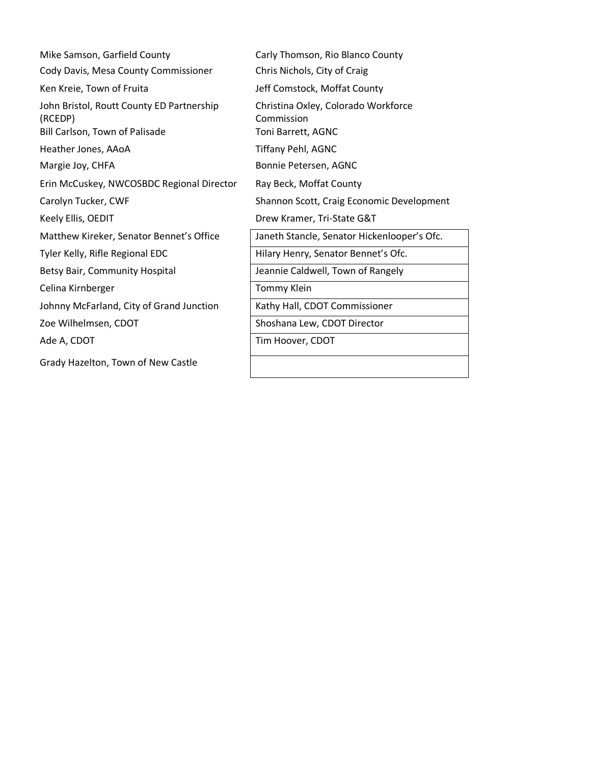| Mike Samson, Garfield County                                                           | Carly Thomson, Rio Blanco County                                        |
|----------------------------------------------------------------------------------------|-------------------------------------------------------------------------|
| Cody Davis, Mesa County Commissioner                                                   | Chris Nichols, City of Craig                                            |
| Ken Kreie, Town of Fruita                                                              | Jeff Comstock, Moffat County                                            |
| John Bristol, Routt County ED Partnership<br>(RCEDP)<br>Bill Carlson, Town of Palisade | Christina Oxley, Colorado Workforce<br>Commission<br>Toni Barrett, AGNC |
| Heather Jones, AAoA                                                                    | Tiffany Pehl, AGNC                                                      |
| Margie Joy, CHFA                                                                       | Bonnie Petersen, AGNC                                                   |
| Erin McCuskey, NWCOSBDC Regional Director                                              | Ray Beck, Moffat County                                                 |
| Carolyn Tucker, CWF                                                                    | Shannon Scott, Craig Economic Development                               |
| Keely Ellis, OEDIT                                                                     | Drew Kramer, Tri-State G&T                                              |
| Matthew Kireker, Senator Bennet's Office                                               | Janeth Stancle, Senator Hickenlooper's Ofc.                             |
| Tyler Kelly, Rifle Regional EDC                                                        | Hilary Henry, Senator Bennet's Ofc.                                     |
| Betsy Bair, Community Hospital                                                         | Jeannie Caldwell, Town of Rangely                                       |
| Celina Kirnberger                                                                      | Tommy Klein                                                             |
| Johnny McFarland, City of Grand Junction                                               | Kathy Hall, CDOT Commissioner                                           |
| Zoe Wilhelmsen, CDOT                                                                   | Shoshana Lew, CDOT Director                                             |
| Ade A, CDOT                                                                            | Tim Hoover, CDOT                                                        |
| Grady Hazelton, Town of New Castle                                                     |                                                                         |
|                                                                                        |                                                                         |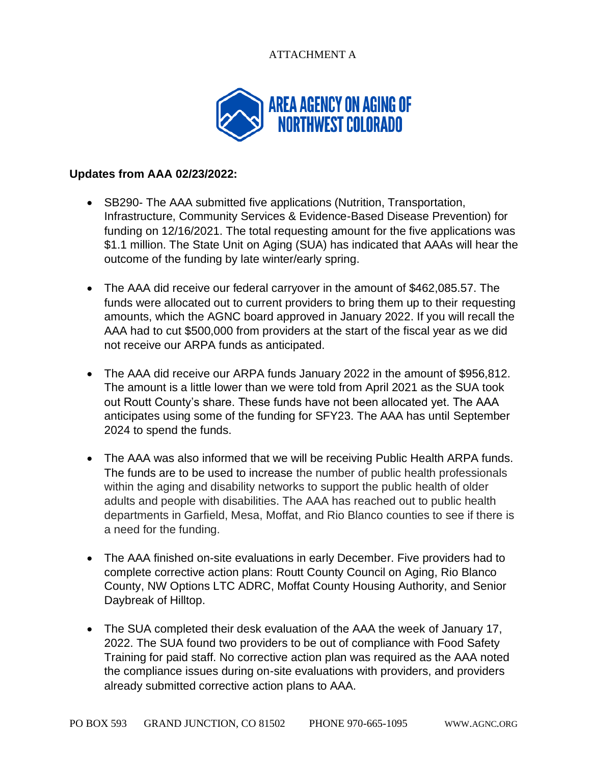## ATTACHMENT A



## **Updates from AAA 02/23/2022:**

- SB290- The AAA submitted five applications (Nutrition, Transportation, Infrastructure, Community Services & Evidence-Based Disease Prevention) for funding on 12/16/2021. The total requesting amount for the five applications was \$1.1 million. The State Unit on Aging (SUA) has indicated that AAAs will hear the outcome of the funding by late winter/early spring.
- The AAA did receive our federal carryover in the amount of \$462,085.57. The funds were allocated out to current providers to bring them up to their requesting amounts, which the AGNC board approved in January 2022. If you will recall the AAA had to cut \$500,000 from providers at the start of the fiscal year as we did not receive our ARPA funds as anticipated.
- The AAA did receive our ARPA funds January 2022 in the amount of \$956,812. The amount is a little lower than we were told from April 2021 as the SUA took out Routt County's share. These funds have not been allocated yet. The AAA anticipates using some of the funding for SFY23. The AAA has until September 2024 to spend the funds.
- The AAA was also informed that we will be receiving Public Health ARPA funds. The funds are to be used to increase the number of public health professionals within the aging and disability networks to support the public health of older adults and people with disabilities. The AAA has reached out to public health departments in Garfield, Mesa, Moffat, and Rio Blanco counties to see if there is a need for the funding.
- The AAA finished on-site evaluations in early December. Five providers had to complete corrective action plans: Routt County Council on Aging, Rio Blanco County, NW Options LTC ADRC, Moffat County Housing Authority, and Senior Daybreak of Hilltop.
- The SUA completed their desk evaluation of the AAA the week of January 17, 2022. The SUA found two providers to be out of compliance with Food Safety Training for paid staff. No corrective action plan was required as the AAA noted the compliance issues during on-site evaluations with providers, and providers already submitted corrective action plans to AAA.